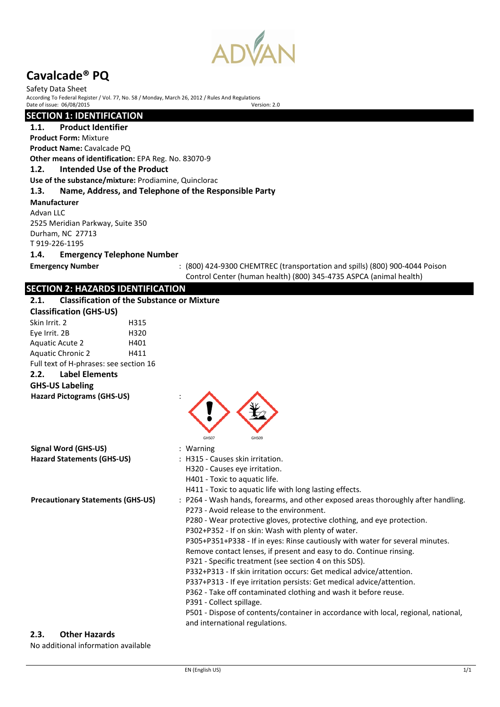

Safety Data Sheet According To Federal Register / Vol. 77, No. 58 / Monday, March 26, 2012 / Rules And Regulations<br>Date of issue: 06/08/2015 Date of issue:  $06/08/2015$ 

# **SECTION 1: IDENTIFICATION**

**1.1. Product Identifier**

**Product Form:** Mixture **Product Name:** Cavalcade PQ

**Other means of identification:** EPA Reg. No. 83070-9

# **1.2. Intended Use of the Product**

**Use of the substance/mixture:** Prodiamine, Quinclorac

# **1.3. Name, Address, and Telephone of the Responsible Party**

**Manufacturer** 

Advan LLC 2525 Meridian Parkway, Suite 350 Durham, NC 27713 T 919-226-1195 **1.4. Emergency Telephone Number**

**Emergency Number** : (800) 424-9300 CHEMTREC (transportation and spills) (800) 900-4044 Poison Control Center (human health) (800) 345-4735 ASPCA (animal health)

# **SECTION 2: HAZARDS IDENTIFICATION**

| 2.1.                                     | <b>Classification of the Substance or Mixture</b>                                                                                                                                                                                                                                                                                                                                                                                                                                                                                                                                                                                                                                                                                                                                                                                                        |
|------------------------------------------|----------------------------------------------------------------------------------------------------------------------------------------------------------------------------------------------------------------------------------------------------------------------------------------------------------------------------------------------------------------------------------------------------------------------------------------------------------------------------------------------------------------------------------------------------------------------------------------------------------------------------------------------------------------------------------------------------------------------------------------------------------------------------------------------------------------------------------------------------------|
| <b>Classification (GHS-US)</b>           |                                                                                                                                                                                                                                                                                                                                                                                                                                                                                                                                                                                                                                                                                                                                                                                                                                                          |
| Skin Irrit. 2                            | H315                                                                                                                                                                                                                                                                                                                                                                                                                                                                                                                                                                                                                                                                                                                                                                                                                                                     |
| Eye Irrit. 2B                            | H320                                                                                                                                                                                                                                                                                                                                                                                                                                                                                                                                                                                                                                                                                                                                                                                                                                                     |
| Aquatic Acute 2                          | H401                                                                                                                                                                                                                                                                                                                                                                                                                                                                                                                                                                                                                                                                                                                                                                                                                                                     |
| <b>Aquatic Chronic 2</b>                 | H411                                                                                                                                                                                                                                                                                                                                                                                                                                                                                                                                                                                                                                                                                                                                                                                                                                                     |
| Full text of H-phrases: see section 16   |                                                                                                                                                                                                                                                                                                                                                                                                                                                                                                                                                                                                                                                                                                                                                                                                                                                          |
| <b>Label Elements</b><br>2.2.            |                                                                                                                                                                                                                                                                                                                                                                                                                                                                                                                                                                                                                                                                                                                                                                                                                                                          |
| <b>GHS-US Labeling</b>                   |                                                                                                                                                                                                                                                                                                                                                                                                                                                                                                                                                                                                                                                                                                                                                                                                                                                          |
| <b>Hazard Pictograms (GHS-US)</b>        | GHS07<br>GHS09                                                                                                                                                                                                                                                                                                                                                                                                                                                                                                                                                                                                                                                                                                                                                                                                                                           |
| <b>Signal Word (GHS-US)</b>              | : Warning                                                                                                                                                                                                                                                                                                                                                                                                                                                                                                                                                                                                                                                                                                                                                                                                                                                |
| <b>Hazard Statements (GHS-US)</b>        | : H315 - Causes skin irritation.<br>H320 - Causes eye irritation.<br>H401 - Toxic to aquatic life.<br>H411 - Toxic to aquatic life with long lasting effects.                                                                                                                                                                                                                                                                                                                                                                                                                                                                                                                                                                                                                                                                                            |
| <b>Precautionary Statements (GHS-US)</b> | : P264 - Wash hands, forearms, and other exposed areas thoroughly after handling.<br>P273 - Avoid release to the environment.<br>P280 - Wear protective gloves, protective clothing, and eye protection.<br>P302+P352 - If on skin: Wash with plenty of water.<br>P305+P351+P338 - If in eyes: Rinse cautiously with water for several minutes.<br>Remove contact lenses, if present and easy to do. Continue rinsing.<br>P321 - Specific treatment (see section 4 on this SDS).<br>P332+P313 - If skin irritation occurs: Get medical advice/attention.<br>P337+P313 - If eye irritation persists: Get medical advice/attention.<br>P362 - Take off contaminated clothing and wash it before reuse.<br>P391 - Collect spillage.<br>P501 - Dispose of contents/container in accordance with local, regional, national,<br>and international regulations. |

### **2.3. Other Hazards**

No additional information available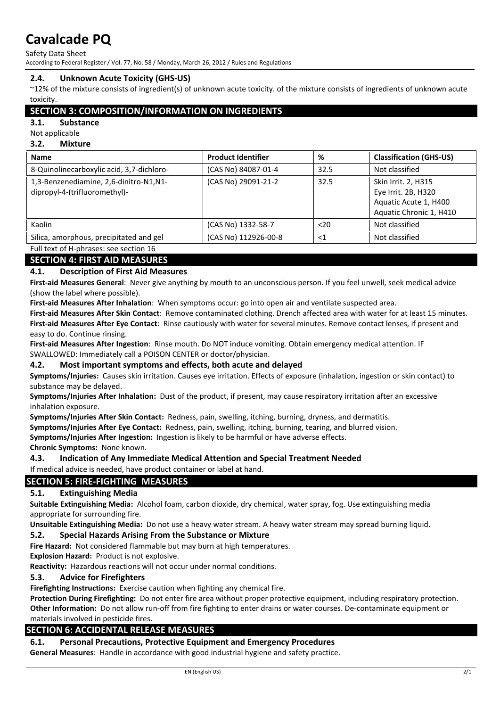Safety Data Sheet

According to Federal Register / Vol. 77, No. 58 / Monday, March 26, 2012 / Rules and Regulations

# **2.4. Unknown Acute Toxicity (GHS-US)**

~12% of the mixture consists of ingredient(s) of unknown acute toxicity. of the mixture consists of ingredients of unknown acute toxicity.

# **SECTION 3: COMPOSITION/INFORMATION ON INGREDIENTS**

# **3.1. Substance**

# Not applicable

# **3.2. Mixture**

| <b>Name</b>                                                             | <b>Product Identifier</b> | %     | <b>Classification (GHS-US)</b>                                                                 |
|-------------------------------------------------------------------------|---------------------------|-------|------------------------------------------------------------------------------------------------|
| 8-Quinolinecarboxylic acid, 3,7-dichloro-                               | (CAS No) 84087-01-4       | 32.5  | Not classified                                                                                 |
| 1,3-Benzenediamine, 2,6-dinitro-N1,N1-<br>dipropyl-4-(trifluoromethyl)- | (CAS No) 29091-21-2       | 32.5  | Skin Irrit. 2, H315<br>Eye Irrit. 2B, H320<br>Aquatic Acute 1, H400<br>Aquatic Chronic 1, H410 |
| Kaolin                                                                  | (CAS No) 1332-58-7        | $20$  | Not classified                                                                                 |
| Silica, amorphous, precipitated and gel                                 | (CAS No) 112926-00-8      | $<$ 1 | Not classified                                                                                 |
| Full text of H-phrases: see section 16                                  |                           |       |                                                                                                |

# **SECTION 4: FIRST AID MEASURES**

# **4.1. Description of First Aid Measures**

**First-aid Measures General**: Never give anything by mouth to an unconscious person. If you feel unwell, seek medical advice (show the label where possible).

**First-aid Measures After Inhalation**: When symptoms occur: go into open air and ventilate suspected area.

**First-aid Measures After Skin Contact**: Remove contaminated clothing. Drench affected area with water for at least 15 minutes. **First-aid Measures After Eye Contact**: Rinse cautiously with water for several minutes. Remove contact lenses, if present and easy to do. Continue rinsing.

**First-aid Measures After Ingestion**: Rinse mouth. Do NOT induce vomiting. Obtain emergency medical attention. IF SWALLOWED: Immediately call a POISON CENTER or doctor/physician.

# **4.2. Most important symptoms and effects, both acute and delayed**

**Symptoms/Injuries:** Causes skin irritation. Causes eye irritation. Effects of exposure (inhalation, ingestion or skin contact) to substance may be delayed.

**Symptoms/Injuries After Inhalation:** Dust of the product, if present, may cause respiratory irritation after an excessive inhalation exposure.

**Symptoms/Injuries After Skin Contact:** Redness, pain, swelling, itching, burning, dryness, and dermatitis.

**Symptoms/Injuries After Eye Contact:** Redness, pain, swelling, itching, burning, tearing, and blurred vision.

**Symptoms/Injuries After Ingestion:** Ingestion is likely to be harmful or have adverse effects.

**Chronic Symptoms:** None known.

# **4.3. Indication of Any Immediate Medical Attention and Special Treatment Needed**

If medical advice is needed, have product container or label at hand.

# **SECTION 5: FIRE-FIGHTING MEASURES**

# **5.1. Extinguishing Media**

**Suitable Extinguishing Media:** Alcohol foam, carbon dioxide, dry chemical, water spray, fog. Use extinguishing media appropriate for surrounding fire.

**Unsuitable Extinguishing Media:** Do not use a heavy water stream. A heavy water stream may spread burning liquid.

### **5.2. Special Hazards Arising From the Substance or Mixture**

**Fire Hazard:** Not considered flammable but may burn at high temperatures.

**Explosion Hazard:** Product is not explosive.

**Reactivity:** Hazardous reactions will not occur under normal conditions.

### **5.3. Advice for Firefighters**

**Firefighting Instructions:** Exercise caution when fighting any chemical fire.

**Protection During Firefighting:** Do not enter fire area without proper protective equipment, including respiratory protection. **Other Information:** Do not allow run-off from fire fighting to enter drains or water courses. De-contaminate equipment or materials involved in pesticide fires.

# **SECTION 6: ACCIDENTAL RELEASE MEASURES**

# **6.1. Personal Precautions, Protective Equipment and Emergency Procedures**

**General Measures**: Handle in accordance with good industrial hygiene and safety practice.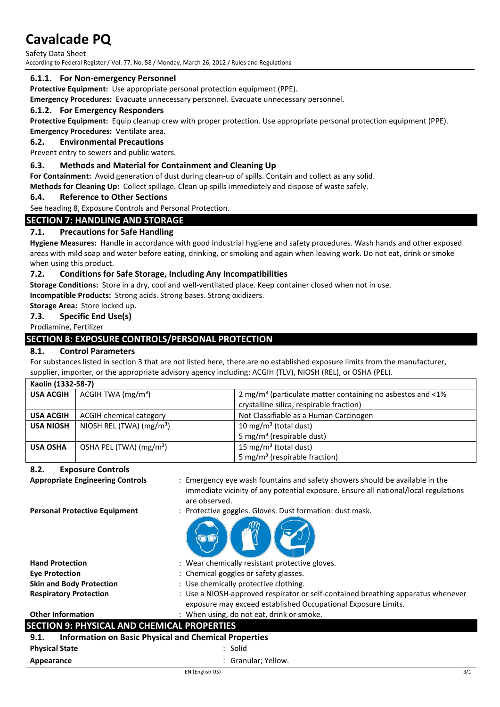Safety Data Sheet According to Federal Register / Vol. 77, No. 58 / Monday, March 26, 2012 / Rules and Regulations

# **6.1.1. For Non-emergency Personnel**

**Protective Equipment:** Use appropriate personal protection equipment (PPE).

**Emergency Procedures:** Evacuate unnecessary personnel. Evacuate unnecessary personnel.

# **6.1.2. For Emergency Responders**

**Protective Equipment:** Equip cleanup crew with proper protection. Use appropriate personal protection equipment (PPE).

#### **Emergency Procedures:** Ventilate area. **6.2. Environmental Precautions**

Prevent entry to sewers and public waters.

# **6.3. Methods and Material for Containment and Cleaning Up**

**For Containment:** Avoid generation of dust during clean-up of spills. Contain and collect as any solid.

**Methods for Cleaning Up:** Collect spillage. Clean up spills immediately and dispose of waste safely.

# **6.4. Reference to Other Sections**

See heading 8, Exposure Controls and Personal Protection.

# **SECTION 7: HANDLING AND STORAGE**

# **7.1. Precautions for Safe Handling**

**Hygiene Measures:** Handle in accordance with good industrial hygiene and safety procedures. Wash hands and other exposed areas with mild soap and water before eating, drinking, or smoking and again when leaving work. Do not eat, drink or smoke when using this product.

# **7.2. Conditions for Safe Storage, Including Any Incompatibilities**

**Storage Conditions:** Store in a dry, cool and well-ventilated place. Keep container closed when not in use.

**Incompatible Products:** Strong acids. Strong bases. Strong oxidizers.

# **Storage Area:** Store locked up.

# **7.3. Specific End Use(s)**

Prodiamine, Fertilizer

# **SECTION 8: EXPOSURE CONTROLS/PERSONAL PROTECTION**

# **8.1. Control Parameters**

For substances listed in section 3 that are not listed here, there are no established exposure limits from the manufacturer, supplier, importer, or the appropriate advisory agency including: ACGIH (TLV), NIOSH (REL), or OSHA (PEL).

| Kaolin (1332-58-7) |                                     |                                                                               |  |
|--------------------|-------------------------------------|-------------------------------------------------------------------------------|--|
| <b>USA ACGIH</b>   | ACGH TWA (mg/m <sup>3</sup> )       | 2 mg/m <sup>3</sup> (particulate matter containing no asbestos and $\leq 1\%$ |  |
|                    |                                     | crystalline silica, respirable fraction)                                      |  |
| <b>USA ACGIH</b>   | ACGIH chemical category             | Not Classifiable as a Human Carcinogen                                        |  |
| <b>USA NIOSH</b>   | NIOSH REL (TWA) $(mg/m3)$           | 10 mg/m <sup>3</sup> (total dust)                                             |  |
|                    |                                     | 5 mg/m <sup>3</sup> (respirable dust)                                         |  |
| <b>USA OSHA</b>    | OSHA PEL (TWA) (mg/m <sup>3</sup> ) | 15 mg/m <sup>3</sup> (total dust)                                             |  |
|                    |                                     | 5 mg/m <sup>3</sup> (respirable fraction)                                     |  |

# **8.2. Exposure Controls**

**Appropriate Engineering Controls** : Emergency eye wash fountains and safety showers should be available in the immediate vicinity of any potential exposure. Ensure all national/local regulations are observed.

- **Personal Protective Equipment** : Protective goggles. Gloves. Dust formation: dust mask.
	-

| <b>Hand Protection</b>                             | : Wear chemically resistant protective gloves.                                                                                                    |
|----------------------------------------------------|---------------------------------------------------------------------------------------------------------------------------------------------------|
| <b>Eve Protection</b>                              | : Chemical goggles or safety glasses.                                                                                                             |
| <b>Skin and Body Protection</b>                    | : Use chemically protective clothing.                                                                                                             |
| <b>Respiratory Protection</b>                      | : Use a NIOSH-approved respirator or self-contained breathing apparatus whenever<br>exposure may exceed established Occupational Exposure Limits. |
| <b>Other Information</b>                           | : When using, do not eat, drink or smoke.                                                                                                         |
| <b>SECTION 9: PHYSICAL AND CHEMICAL PROPERTIES</b> |                                                                                                                                                   |
| 9.1.                                               | <b>Information on Basic Physical and Chemical Properties</b>                                                                                      |
| <b>Physical State</b>                              | : Solid                                                                                                                                           |
|                                                    |                                                                                                                                                   |

**Appearance** : Granular; Yellow.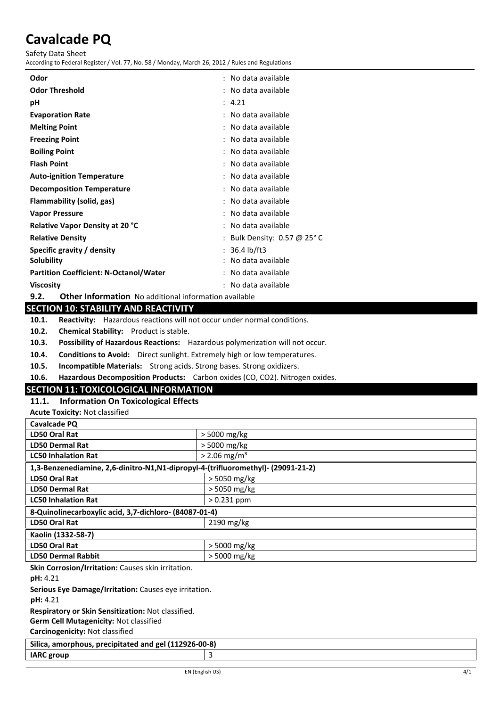Safety Data Sheet

According to Federal Register / Vol. 77, No. 58 / Monday, March 26, 2012 / Rules and Regulations

| Odor                                                                 | : No data available         |  |
|----------------------------------------------------------------------|-----------------------------|--|
| <b>Odor Threshold</b>                                                | : No data available         |  |
| рH                                                                   | : 4.21                      |  |
| <b>Evaporation Rate</b>                                              | : No data available         |  |
| <b>Melting Point</b>                                                 | : No data available         |  |
| <b>Freezing Point</b>                                                | : No data available         |  |
| <b>Boiling Point</b>                                                 | : No data available         |  |
| <b>Flash Point</b>                                                   | : No data available         |  |
| <b>Auto-ignition Temperature</b>                                     | : No data available         |  |
| <b>Decomposition Temperature</b>                                     | : No data available         |  |
| Flammability (solid, gas)                                            | : No data available         |  |
| <b>Vapor Pressure</b>                                                | : No data available         |  |
| <b>Relative Vapor Density at 20 °C</b>                               | : No data available         |  |
| <b>Relative Density</b>                                              | : Bulk Density: 0.57 @ 25°C |  |
| Specific gravity / density                                           | $: 36.4 \, lb/ft3$          |  |
| Solubility                                                           | : No data available         |  |
| <b>Partition Coefficient: N-Octanol/Water</b>                        | : No data available         |  |
| <b>Viscosity</b>                                                     | : No data available         |  |
| 9.2.<br><b>Other Information</b> No additional information available |                             |  |

**SECTION 10: STABILITY AND REACTIVITY**

**10.1. Reactivity:** Hazardous reactions will not occur under normal conditions.

**10.2. Chemical Stability:** Product is stable.

**10.3. Possibility of Hazardous Reactions:** Hazardous polymerization will not occur.

**10.4. Conditions to Avoid:** Direct sunlight. Extremely high or low temperatures.

**10.5. Incompatible Materials:** Strong acids. Strong bases. Strong oxidizers.

**10.6. Hazardous Decomposition Products:** Carbon oxides (CO, CO2). Nitrogen oxides.

# **SECTION 11: TOXICOLOGICAL INFORMATION**

# **11.1. Information On Toxicological Effects**

**Acute Toxicity:** Not classified

| Cavalcade PQ                                                                     |                            |  |
|----------------------------------------------------------------------------------|----------------------------|--|
| <b>LD50 Oral Rat</b>                                                             | > 5000 mg/kg               |  |
| <b>LD50 Dermal Rat</b>                                                           | > 5000 mg/kg               |  |
| <b>LC50 Inhalation Rat</b>                                                       | $>$ 2.06 mg/m <sup>3</sup> |  |
| 1,3-Benzenediamine, 2,6-dinitro-N1,N1-dipropyl-4-(trifluoromethyl)- (29091-21-2) |                            |  |
| LD50 Oral Rat                                                                    | > 5050 mg/kg               |  |
| <b>LD50 Dermal Rat</b>                                                           | > 5050 mg/kg               |  |
| <b>LC50 Inhalation Rat</b>                                                       | $> 0.231$ ppm              |  |
| 8-Quinolinecarboxylic acid, 3,7-dichloro- (84087-01-4)                           |                            |  |
| LD50 Oral Rat                                                                    | $2190$ mg/kg               |  |
| Kaolin (1332-58-7)                                                               |                            |  |
| <b>LD50 Oral Rat</b>                                                             | > 5000 mg/kg               |  |
| <b>LD50 Dermal Rabbit</b>                                                        | > 5000 mg/kg               |  |
| Skin Corrosion/Irritation: Causes skin irritation.                               |                            |  |
| pH: 4.21                                                                         |                            |  |
| Serious Eye Damage/Irritation: Causes eye irritation.                            |                            |  |
| pH: 4.21                                                                         |                            |  |
| <b>Respiratory or Skin Sensitization: Not classified.</b>                        |                            |  |

**Germ Cell Mutagenicity:** Not classified

**Carcinogenicity:** Not classified

| Silica, amorphous, precipitated and gel (112926-00-8) |  |  |
|-------------------------------------------------------|--|--|
| <b>IARC</b> group                                     |  |  |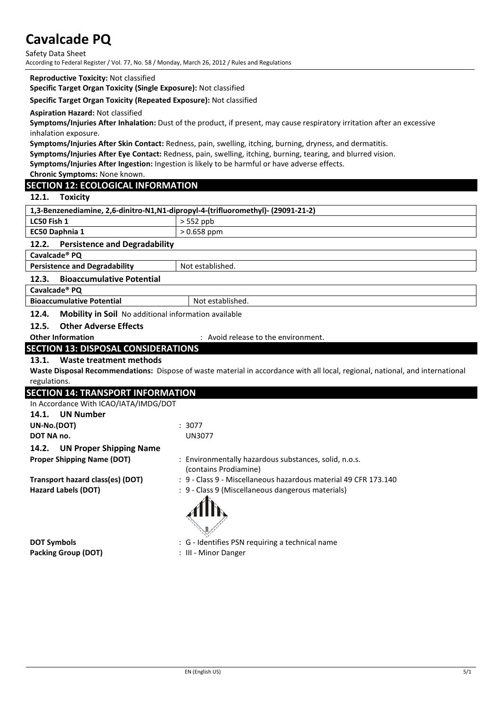Safety Data Sheet According to Federal Register / Vol. 77, No. 58 / Monday, March 26, 2012 / Rules and Regulations

#### **Reproductive Toxicity:** Not classified

**Specific Target Organ Toxicity (Single Exposure):** Not classified

### **Specific Target Organ Toxicity (Repeated Exposure):** Not classified

#### **Aspiration Hazard:** Not classified

**Symptoms/Injuries After Inhalation:** Dust of the product, if present, may cause respiratory irritation after an excessive inhalation exposure.

**Symptoms/Injuries After Skin Contact:** Redness, pain, swelling, itching, burning, dryness, and dermatitis.

**Symptoms/Injuries After Eye Contact:** Redness, pain, swelling, itching, burning, tearing, and blurred vision.

**Symptoms/Injuries After Ingestion:** Ingestion is likely to be harmful or have adverse effects.

**Chronic Symptoms:** None known.

# **SECTION 12: ECOLOGICAL INFORMATION**

### **12.1. Toxicity**

| 1,3-Benzenediamine, 2,6-dinitro-N1,N1-dipropyl-4-(trifluoromethyl)- (29091-21-2) |                  |  |
|----------------------------------------------------------------------------------|------------------|--|
| LC50 Fish 1                                                                      | $> 552$ ppb      |  |
| <b>EC50 Daphnia 1</b>                                                            | $> 0.658$ ppm    |  |
| <b>Persistence and Degradability</b><br>12.2.                                    |                  |  |
| Cavalcade <sup>®</sup> PQ                                                        |                  |  |
| <b>Persistence and Degradability</b>                                             | Not established. |  |
| <b>Bioaccumulative Potential</b><br>12.3.                                        |                  |  |
| Cavalcade <sup>®</sup> PQ                                                        |                  |  |
| <b>Bioaccumulative Potential</b>                                                 | Not established. |  |
| <b>Mobility in Soil</b> No additional information available<br>12.4.             |                  |  |
|                                                                                  |                  |  |

**12.5. Other Adverse Effects**

**Other Information** : Avoid release to the environment.

# **SECTION 13: DISPOSAL CONSIDERATIONS**

### **13.1. Waste treatment methods**

**Waste Disposal Recommendations:** Dispose of waste material in accordance with all local, regional, national, and international regulations.

| <b>SECTION 14: TRANSPORT INFORMATION</b> |                                                                                |
|------------------------------------------|--------------------------------------------------------------------------------|
| In Accordance With ICAO/IATA/IMDG/DOT    |                                                                                |
| <b>UN Number</b><br>14.1.                |                                                                                |
| UN-No.(DOT)                              | : 3077                                                                         |
| DOT NA no.                               | <b>UN3077</b>                                                                  |
| <b>UN Proper Shipping Name</b><br>14.2.  |                                                                                |
| <b>Proper Shipping Name (DOT)</b>        | : Environmentally hazardous substances, solid, n.o.s.<br>(contains Prodiamine) |
| Transport hazard class(es) (DOT)         | : 9 - Class 9 - Miscellaneous hazardous material 49 CFR 173.140                |
| <b>Hazard Labels (DOT)</b>               | : 9 - Class 9 (Miscellaneous dangerous materials)                              |
| <b>DOT Cumbols</b>                       | $\cdot$ C – Identifies DCN requiring a technical pame                          |

**Packing Group (DOT)** : III - Minor Danger

**DOT Symbols Example 20 C**  $\mathbf{C}$  : G - Identifies PSN requiring a technical name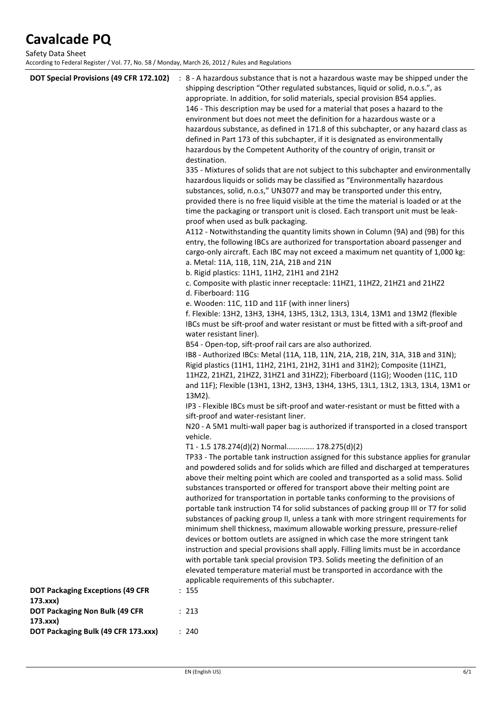Safety Data Sheet According to Federal Register / Vol. 77, No. 58 / Monday, March 26, 2012 / Rules and Regulations

| DOT Special Provisions (49 CFR 172.102)                                               | : 8 - A hazardous substance that is not a hazardous waste may be shipped under the<br>shipping description "Other regulated substances, liquid or solid, n.o.s.", as<br>appropriate. In addition, for solid materials, special provision B54 applies.<br>146 - This description may be used for a material that poses a hazard to the<br>environment but does not meet the definition for a hazardous waste or a<br>hazardous substance, as defined in 171.8 of this subchapter, or any hazard class as<br>defined in Part 173 of this subchapter, if it is designated as environmentally<br>hazardous by the Competent Authority of the country of origin, transit or<br>destination.<br>335 - Mixtures of solids that are not subject to this subchapter and environmentally<br>hazardous liquids or solids may be classified as "Environmentally hazardous<br>substances, solid, n.o.s," UN3077 and may be transported under this entry,<br>provided there is no free liquid visible at the time the material is loaded or at the<br>time the packaging or transport unit is closed. Each transport unit must be leak-<br>proof when used as bulk packaging.<br>A112 - Notwithstanding the quantity limits shown in Column (9A) and (9B) for this<br>entry, the following IBCs are authorized for transportation aboard passenger and<br>cargo-only aircraft. Each IBC may not exceed a maximum net quantity of 1,000 kg:<br>a. Metal: 11A, 11B, 11N, 21A, 21B and 21N<br>b. Rigid plastics: 11H1, 11H2, 21H1 and 21H2<br>c. Composite with plastic inner receptacle: 11HZ1, 11HZ2, 21HZ1 and 21HZ2<br>d. Fiberboard: 11G<br>e. Wooden: 11C, 11D and 11F (with inner liners)<br>f. Flexible: 13H2, 13H3, 13H4, 13H5, 13L2, 13L3, 13L4, 13M1 and 13M2 (flexible<br>IBCs must be sift-proof and water resistant or must be fitted with a sift-proof and<br>water resistant liner).<br>B54 - Open-top, sift-proof rail cars are also authorized.<br>IB8 - Authorized IBCs: Metal (11A, 11B, 11N, 21A, 21B, 21N, 31A, 31B and 31N);<br>Rigid plastics (11H1, 11H2, 21H1, 21H2, 31H1 and 31H2); Composite (11HZ1,<br>11HZ2, 21HZ1, 21HZ2, 31HZ1 and 31HZ2); Fiberboard (11G); Wooden (11C, 11D<br>and 11F); Flexible (13H1, 13H2, 13H3, 13H4, 13H5, 13L1, 13L2, 13L3, 13L4, 13M1 or<br>13M2).<br>IP3 - Flexible IBCs must be sift-proof and water-resistant or must be fitted with a<br>sift-proof and water-resistant liner.<br>N20 - A 5M1 multi-wall paper bag is authorized if transported in a closed transport<br>vehicle.<br>T1 - 1.5 178.274(d)(2) Normal 178.275(d)(2)<br>TP33 - The portable tank instruction assigned for this substance applies for granular<br>and powdered solids and for solids which are filled and discharged at temperatures<br>above their melting point which are cooled and transported as a solid mass. Solid<br>substances transported or offered for transport above their melting point are<br>authorized for transportation in portable tanks conforming to the provisions of<br>portable tank instruction T4 for solid substances of packing group III or T7 for solid<br>substances of packing group II, unless a tank with more stringent requirements for<br>minimum shell thickness, maximum allowable working pressure, pressure-relief<br>devices or bottom outlets are assigned in which case the more stringent tank<br>instruction and special provisions shall apply. Filling limits must be in accordance<br>with portable tank special provision TP3. Solids meeting the definition of an |
|---------------------------------------------------------------------------------------|------------------------------------------------------------------------------------------------------------------------------------------------------------------------------------------------------------------------------------------------------------------------------------------------------------------------------------------------------------------------------------------------------------------------------------------------------------------------------------------------------------------------------------------------------------------------------------------------------------------------------------------------------------------------------------------------------------------------------------------------------------------------------------------------------------------------------------------------------------------------------------------------------------------------------------------------------------------------------------------------------------------------------------------------------------------------------------------------------------------------------------------------------------------------------------------------------------------------------------------------------------------------------------------------------------------------------------------------------------------------------------------------------------------------------------------------------------------------------------------------------------------------------------------------------------------------------------------------------------------------------------------------------------------------------------------------------------------------------------------------------------------------------------------------------------------------------------------------------------------------------------------------------------------------------------------------------------------------------------------------------------------------------------------------------------------------------------------------------------------------------------------------------------------------------------------------------------------------------------------------------------------------------------------------------------------------------------------------------------------------------------------------------------------------------------------------------------------------------------------------------------------------------------------------------------------------------------------------------------------------------------------------------------------------------------------------------------------------------------------------------------------------------------------------------------------------------------------------------------------------------------------------------------------------------------------------------------------------------------------------------------------------------------------------------------------------------------------------------------------------------------------------------------------------------------------------------------------------------------------------------------------------------------------------------------------------------------------------------------------------------------------------------------------------------------------------------------------------------------------------------------------------------------------------|
|                                                                                       | elevated temperature material must be transported in accordance with the<br>applicable requirements of this subchapter.                                                                                                                                                                                                                                                                                                                                                                                                                                                                                                                                                                                                                                                                                                                                                                                                                                                                                                                                                                                                                                                                                                                                                                                                                                                                                                                                                                                                                                                                                                                                                                                                                                                                                                                                                                                                                                                                                                                                                                                                                                                                                                                                                                                                                                                                                                                                                                                                                                                                                                                                                                                                                                                                                                                                                                                                                                                                                                                                                                                                                                                                                                                                                                                                                                                                                                                                                                                                                        |
| <b>DOT Packaging Exceptions (49 CFR</b><br>173.xxx)<br>DOT Packaging Non Bulk (49 CFR | : 155<br>: 213                                                                                                                                                                                                                                                                                                                                                                                                                                                                                                                                                                                                                                                                                                                                                                                                                                                                                                                                                                                                                                                                                                                                                                                                                                                                                                                                                                                                                                                                                                                                                                                                                                                                                                                                                                                                                                                                                                                                                                                                                                                                                                                                                                                                                                                                                                                                                                                                                                                                                                                                                                                                                                                                                                                                                                                                                                                                                                                                                                                                                                                                                                                                                                                                                                                                                                                                                                                                                                                                                                                                 |
| 173.xxx)<br>DOT Packaging Bulk (49 CFR 173.xxx)                                       | : 240                                                                                                                                                                                                                                                                                                                                                                                                                                                                                                                                                                                                                                                                                                                                                                                                                                                                                                                                                                                                                                                                                                                                                                                                                                                                                                                                                                                                                                                                                                                                                                                                                                                                                                                                                                                                                                                                                                                                                                                                                                                                                                                                                                                                                                                                                                                                                                                                                                                                                                                                                                                                                                                                                                                                                                                                                                                                                                                                                                                                                                                                                                                                                                                                                                                                                                                                                                                                                                                                                                                                          |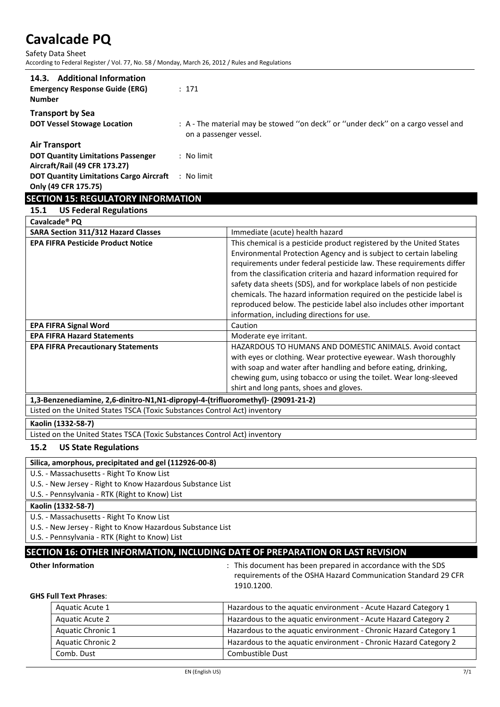Safety Data Sheet According to Federal Register / Vol. 77, No. 58 / Monday, March 26, 2012 / Rules and Regulations

| 14.3. Additional Information<br><b>Emergency Response Guide (ERG)</b><br><b>Number</b>                                                               | : 171                                                                                                      |
|------------------------------------------------------------------------------------------------------------------------------------------------------|------------------------------------------------------------------------------------------------------------|
| <b>Transport by Sea</b><br><b>DOT Vessel Stowage Location</b>                                                                                        | : A - The material may be stowed "on deck" or "under deck" on a cargo vessel and<br>on a passenger vessel. |
| <b>Air Transport</b><br><b>DOT Quantity Limitations Passenger</b><br>Aircraft/Rail (49 CFR 173.27)<br><b>DOT Quantity Limitations Cargo Aircraft</b> | : No limit<br>No limit                                                                                     |

### **Only (49 CFR 175.75)**

# **SECTION 15: REGULATORY INFORMATION**

# **15.1 US Federal Regulations**

| Cavalcade <sup>®</sup> PQ                  |                                                                                                                                                                                                                                                                                                                                                                                                                                                                                                                 |
|--------------------------------------------|-----------------------------------------------------------------------------------------------------------------------------------------------------------------------------------------------------------------------------------------------------------------------------------------------------------------------------------------------------------------------------------------------------------------------------------------------------------------------------------------------------------------|
| <b>SARA Section 311/312 Hazard Classes</b> | Immediate (acute) health hazard                                                                                                                                                                                                                                                                                                                                                                                                                                                                                 |
| <b>EPA FIFRA Pesticide Product Notice</b>  | This chemical is a pesticide product registered by the United States<br>Environmental Protection Agency and is subject to certain labeling<br>requirements under federal pesticide law. These requirements differ<br>from the classification criteria and hazard information required for<br>safety data sheets (SDS), and for workplace labels of non pesticide<br>chemicals. The hazard information required on the pesticide label is<br>reproduced below. The pesticide label also includes other important |
|                                            | information, including directions for use.                                                                                                                                                                                                                                                                                                                                                                                                                                                                      |
| <b>EPA FIFRA Signal Word</b>               | Caution                                                                                                                                                                                                                                                                                                                                                                                                                                                                                                         |
| <b>EPA FIFRA Hazard Statements</b>         | Moderate eye irritant.                                                                                                                                                                                                                                                                                                                                                                                                                                                                                          |
| <b>EPA FIFRA Precautionary Statements</b>  | HAZARDOUS TO HUMANS AND DOMESTIC ANIMALS. Avoid contact<br>with eyes or clothing. Wear protective eyewear. Wash thoroughly<br>with soap and water after handling and before eating, drinking,<br>chewing gum, using tobacco or using the toilet. Wear long-sleeved<br>shirt and long pants, shoes and gloves.                                                                                                                                                                                                   |
|                                            | $\mathbf{A}$ and $\mathbf{A}$ and $\mathbf{A}$                                                                                                                                                                                                                                                                                                                                                                                                                                                                  |

**1,3-Benzenediamine, 2,6-dinitro-N1,N1-dipropyl-4-(trifluoromethyl)- (29091-21-2)**

Listed on the United States TSCA (Toxic Substances Control Act) inventory

### **Kaolin (1332-58-7)**

Listed on the United States TSCA (Toxic Substances Control Act) inventory

### **15.2 US State Regulations**

### **Silica, amorphous, precipitated and gel (112926-00-8)**

U.S. - Massachusetts - Right To Know List

U.S. - New Jersey - Right to Know Hazardous Substance List

U.S. - Pennsylvania - RTK (Right to Know) List

### **Kaolin (1332-58-7)**

U.S. - Massachusetts - Right To Know List

U.S. - New Jersey - Right to Know Hazardous Substance List

U.S. - Pennsylvania - RTK (Right to Know) List

### **SECTION 16: OTHER INFORMATION, INCLUDING DATE OF PREPARATION OR LAST REVISION**

**Other Information Channel Exercise 3 and SCS Channel Exercise 2 and SCSS Channel SCSS Channel SCSS** in accordance with the SDS requirements of the OSHA Hazard Communication Standard 29 CFR 1910.1200.

### **GHS Full Text Phrases**:

| Aquatic Acute 1          | Hazardous to the aquatic environment - Acute Hazard Category 1   |
|--------------------------|------------------------------------------------------------------|
| <b>Aguatic Acute 2</b>   | Hazardous to the aquatic environment - Acute Hazard Category 2   |
| <b>Aquatic Chronic 1</b> | Hazardous to the aquatic environment - Chronic Hazard Category 1 |
| <b>Aquatic Chronic 2</b> | Hazardous to the aquatic environment - Chronic Hazard Category 2 |
| Comb. Dust               | Combustible Dust                                                 |